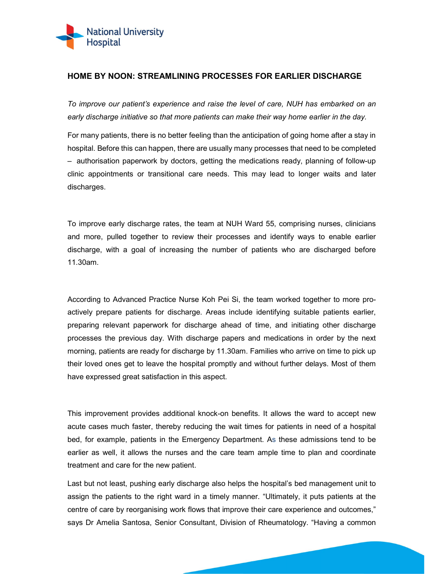

## HOME BY NOON: STREAMLINING PROCESSES FOR EARLIER DISCHARGE

To improve our patient's experience and raise the level of care, NUH has embarked on an early discharge initiative so that more patients can make their way home earlier in the day.

For many patients, there is no better feeling than the anticipation of going home after a stay in hospital. Before this can happen, there are usually many processes that need to be completed – authorisation paperwork by doctors, getting the medications ready, planning of follow-up clinic appointments or transitional care needs. This may lead to longer waits and later discharges.

To improve early discharge rates, the team at NUH Ward 55, comprising nurses, clinicians and more, pulled together to review their processes and identify ways to enable earlier discharge, with a goal of increasing the number of patients who are discharged before 11.30am.

According to Advanced Practice Nurse Koh Pei Si, the team worked together to more proactively prepare patients for discharge. Areas include identifying suitable patients earlier, preparing relevant paperwork for discharge ahead of time, and initiating other discharge processes the previous day. With discharge papers and medications in order by the next morning, patients are ready for discharge by 11.30am. Families who arrive on time to pick up their loved ones get to leave the hospital promptly and without further delays. Most of them have expressed great satisfaction in this aspect.

This improvement provides additional knock-on benefits. It allows the ward to accept new acute cases much faster, thereby reducing the wait times for patients in need of a hospital bed, for example, patients in the Emergency Department. As these admissions tend to be earlier as well, it allows the nurses and the care team ample time to plan and coordinate treatment and care for the new patient.

Last but not least, pushing early discharge also helps the hospital's bed management unit to assign the patients to the right ward in a timely manner. "Ultimately, it puts patients at the centre of care by reorganising work flows that improve their care experience and outcomes," says Dr Amelia Santosa, Senior Consultant, Division of Rheumatology. "Having a common